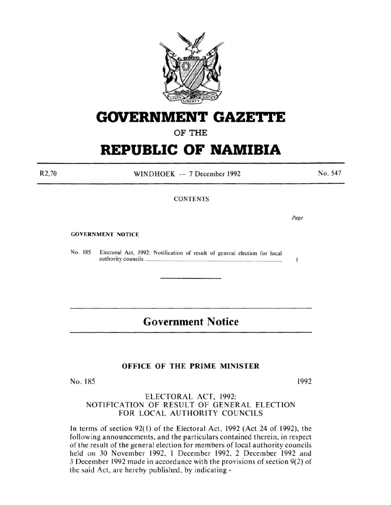

# **GOVERNMENT GAZE1'TE**

# **OF THE**

# **REPUBLIC OF NAMIBIA**

R2,70

WINDHOEK  $-7$  December 1992

No. 547

### **CONTENTS**

Page

T

GOVERNMENT NOTICE

No. 185 Electoral Act. 1992: Notification of result of general election for local authority councils ............................................................................................................... .

# **Government Notice**

## **OFFICE OF THE PRIME MINISTER**

No. 185

1992

## ELECTORAL ACT, 1992: NOTIFICATION OF RESULT OF GENERAL ELECTION FOR LOCAL AUTHORITY COUNCILS

In terms of section  $92(1)$  of the Electoral Act,  $1992$  (Act 24 of 1992), the following announcements. and the particulars contained therein. in respect of the result of the general election for members of local authority councils held on 30 November 1992, 1 December 1992, 2 December 1992 and J December 1992 made in accordance with the provisions of section 9(2) of the said Act, are hereby published, by indicating-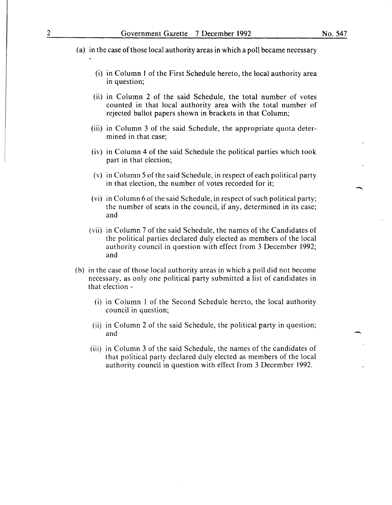- (a) in the case of those local authority areas in which a poll became necessary
	- (i) in Column I of the First Schedule hereto, the local authority area in question;
	- (ii) in Column 2 of the said Schedule, the total number of votes counted in that local authority area with the total number of rejected ballot papers shown in brackets in that Column;
	- (iii) in Column 3 of the said Schedule, the appropriate quota determined in that case;
	- (iv) in Column 4 of the said Schedule the political parties which took part in that election;
	- (v) in Column 5 of the said Schedule, in respect of each political party in that election, the number of votes recorded for it;
	- (vi) in Column 6 of the said Schedule, in respect of such political party; the number of seats in the council, if any, determined in its case; and
	- (vii) in Column 7 of the said Schedule, the names of the Candidates of the political parties declared duly elected as members of the local authority council in question with effect from 3 December 1992; and
- (b) in the case of those local authority areas in which a poll did not become necessary, as only one political party submitted a list of candidates in that election -
	- (i) in Column I of the Second Schedule hereto, the local authority council in question;
	- (ii) in Column 2 of the said Schedule, the political party in question; and
	- (iii) in Column 3 of the said Schedule, the names of the candidates of that political party declared duly elected as members of the local authority council in question with effect from 3 December 1992.

-

 $\overline{\phantom{a}}$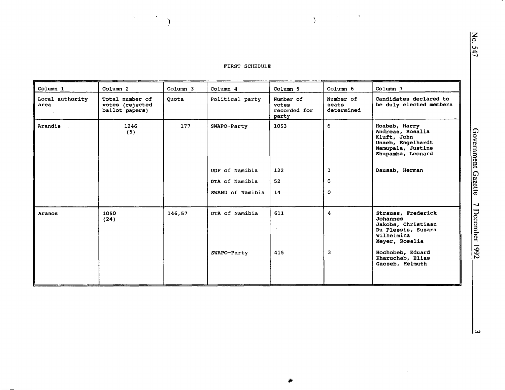) and the contract of  $\overline{\phantom{a}}$ 

 $\mathcal{L}_{\text{max}}$  and  $\mathcal{L}_{\text{max}}$  and  $\mathcal{L}_{\text{max}}$ 

| Column 1                | Column 2                                             | Column 3 | Column 4                      | Column 5                                    | Column 6                         | Column 7                                                                                                                              |
|-------------------------|------------------------------------------------------|----------|-------------------------------|---------------------------------------------|----------------------------------|---------------------------------------------------------------------------------------------------------------------------------------|
| Local authority<br>area | Total number of<br>votes (rejected<br>ballot papers) | Quota    | Political party               | Number of<br>votes<br>recorded for<br>party | Number of<br>seats<br>determined | Candidates declared to<br>be duly elected members                                                                                     |
| Arandis                 | 1246<br>(5)                                          | 177      | SWAPO-Party                   | 1053                                        | 6                                | Hoabeb, Harry<br>Andreas, Rosalia<br>Kluft, John<br>Unaeb, Engelhardt<br>Namupala, Justine<br>Shupamba, Leonard                       |
|                         |                                                      |          | UDF of Namibia                | 122                                         | 1                                | Dausab, Herman                                                                                                                        |
|                         |                                                      |          | DTA of Namibia                | 52                                          | $\mathbf{O}$                     |                                                                                                                                       |
|                         |                                                      |          | SWANU of Namibia              | 14                                          | $\Omega$                         |                                                                                                                                       |
| Aranos                  | 1050<br>(24)                                         | 146,57   | DTA of Namibia<br>SWAPO-Party | 611<br>415                                  | 4<br>3                           | Strauss, Frederick<br><b>Johannes</b><br>Jakobs, Christiaan<br>Du Plessis, Susara<br>Wilhelmina<br>Meyer, Rosalia<br>Hochobeb, Eduard |
|                         |                                                      |          |                               |                                             |                                  | Kharuchab, Elias<br>Gaoseb, Helmuth                                                                                                   |

 $\bar{\beta}$ 

lω

z 0

547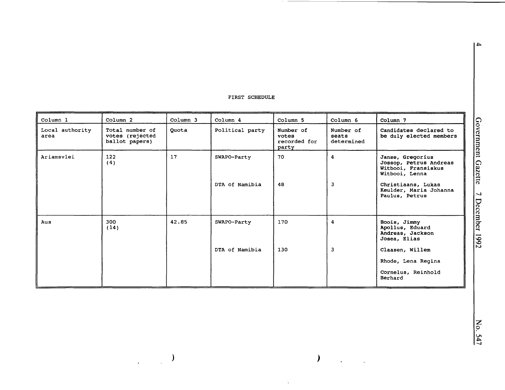| Column 1                | Column <sub>2</sub>                                  | Column 3 | Column 4        | Column 5                                    | Column 6                         | Column 7                                                                            |
|-------------------------|------------------------------------------------------|----------|-----------------|---------------------------------------------|----------------------------------|-------------------------------------------------------------------------------------|
| Local authority<br>area | Total number of<br>votes (rejected<br>ballot papers) | Quota    | Political party | Number of<br>votes<br>recorded for<br>party | Number of<br>seats<br>determined | Candidates declared to<br>be duly elected members                                   |
| Ariamsvlei              | 122<br>(4)                                           | 17       | SWAPO-Party     | 70                                          | 4                                | Janse, Gregorius<br>Jossop, Petrus Andreas<br>Witbooi, Fransiskus<br>Witbooi, Lenna |
|                         |                                                      |          | DTA of Namibia  | 48                                          | 3                                | Christiaans, Lukas<br>Keulder, Maria Johanna<br>Paulus, Petrus                      |
| Aus                     | 300<br>(14)                                          | 42.85    | SWAPO-Party     | 170                                         | 4                                | Boois, Jimmy<br>Apollus, Eduard<br>Andreas, Jackson<br>Josea, Elias                 |
|                         |                                                      |          | DTA of Namibia  | 130                                         | 3                                | Claasen, Willem                                                                     |
|                         |                                                      |          |                 |                                             |                                  | Rhode, Lena Regina                                                                  |
|                         |                                                      |          |                 |                                             |                                  | Cornelus, Reinhold<br>Berhard                                                       |

) )

 $\tilde{\epsilon}_\bullet$ 

 $\ddot{\phantom{a}}$ 

 $\mathbf{z}$ 547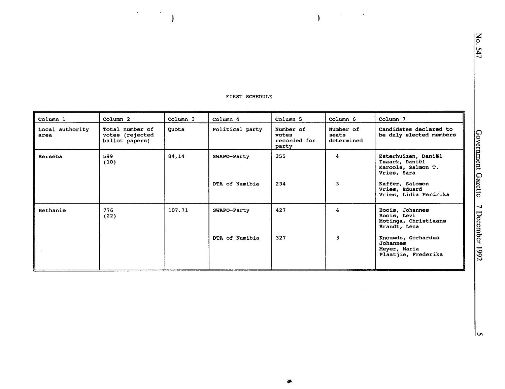)

 $\mathcal{O}(\sqrt{N})$  , where  $\mathcal{O}(\sqrt{N})$ 

..

| Column 1                | Column <sub>2</sub>                                  | Column 3 | Column 4        | Column 5                                    | Column 6                         | Column 7                                                                   |
|-------------------------|------------------------------------------------------|----------|-----------------|---------------------------------------------|----------------------------------|----------------------------------------------------------------------------|
| Local authority<br>area | Total number of<br>votes (rejected<br>ballot papers) | Quota    | Political party | Number of<br>votes<br>recorded for<br>party | Number of<br>seats<br>determined | Candidates declared to<br>be duly elected members                          |
| Berseba                 | 599<br>(10)                                          | 84,14    | SWAPO-Party     | 355                                         | 4                                | Esterhuizen, Daniël<br>Isaack, Daniël<br>Karools, Salmon T.<br>Vries, Sara |
|                         |                                                      |          | DTA of Namibia  | 234                                         | 3                                | Kaffer, Salomon<br>Vries, Eduard<br>Vries, Lidia Ferdrika                  |
| Bethanie                | 776<br>(22)                                          | 107.71   | SWAPO-Party     | 427                                         | 4                                | Boois, Johannes<br>Boois, Levi<br>Motinga, Christiaans<br>Brandt, Lena     |
|                         |                                                      |          | DTA of Namibia  | 327                                         | 3                                | Knouwds, Gerhardus<br>Johannes<br>Meyer, Maria<br>Plaatjie, Frederika      |

FIRST SCHEDULE

 $\epsilon$ 

 $\overline{)}$ 

 $\overline{\phantom{a}}$ 

lب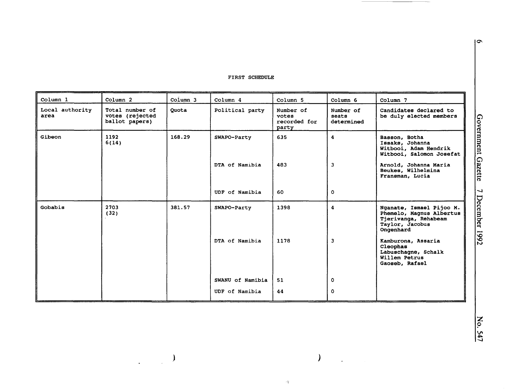| Column 1                | Column 2                                             | Column <sub>3</sub> | Column 4         | Column <sub>5</sub>                         | Column <sub>6</sub>              | Column 7                                                                                                     |
|-------------------------|------------------------------------------------------|---------------------|------------------|---------------------------------------------|----------------------------------|--------------------------------------------------------------------------------------------------------------|
| Local authority<br>area | Total number of<br>votes (rejected<br>ballot papers) | Quota               | Political party  | Number of<br>votes<br>recorded for<br>party | Number of<br>seats<br>determined | Candidates declared to<br>be duly elected members                                                            |
| Gibeon                  | 1192<br>6(14)                                        | 168.29              | SWAPO-Party      | 635                                         | 4                                | Basson, Botha<br>Issaks, Johanna<br>Witbooi, Adam Hendrik<br>Witbooi, Salomon Josefat                        |
|                         |                                                      |                     | DTA of Namibia   | 483                                         | $\overline{\mathbf{3}}$          | Arnold, Johanna Maria<br>Beukes, Wilhelmina<br>Fransman, Lucia                                               |
|                         |                                                      |                     | UDF of Namibia   | 60                                          | $\mathbf{o}$                     |                                                                                                              |
| Gobabis                 | 2703<br>(32)                                         | 381.57              | SWAPO-Party      | 1398                                        | 4                                | Nganate, Ismael Pijoo M.<br>Phemelo, Magnus Albertus<br>Tjerivanga, Rehabeam<br>Taylor, Jacobus<br>Ongenhard |
|                         |                                                      |                     | DTA of Namibia   | 1178                                        | 3                                | Kamburona, Assaria<br>Cleophas<br>Labuschagne, Schalk<br>Willem Petrus<br>Gaoseb, Rafael                     |
|                         |                                                      |                     | SWANU of Namibia | 51                                          | 0                                |                                                                                                              |
|                         |                                                      |                     | UDF of Namibia   | 44                                          | $\circ$                          |                                                                                                              |

)

 $\omega_{\rm T}^{\rm S}$ 

 $\mathcal{L}^{\text{max}}_{\text{max}}$ 

 $\mathcal{L}^{\text{max}}_{\text{max}}$ 

 $\sigma$ 

z 0 547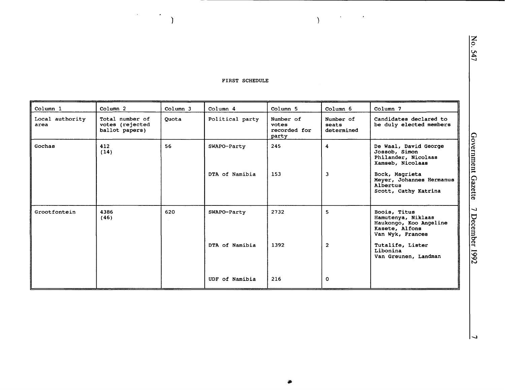$\bar{a}$ 

 $\bullet$ 

 $\lambda$ 

| Column 1                | Column <sub>2</sub>                                  | Column 3 | Column 4        | Column <sub>5</sub>                         | Column 6                         | Column 7                                                                                           |
|-------------------------|------------------------------------------------------|----------|-----------------|---------------------------------------------|----------------------------------|----------------------------------------------------------------------------------------------------|
| Local authority<br>area | Total number of<br>votes (rejected<br>ballot papers) | Quota    | Political party | Number of<br>votes<br>recorded for<br>party | Number of<br>seats<br>determined | Candidates declared to<br>be duly elected members                                                  |
| Gochas                  | 412<br>(14)                                          | 56       | SWAPO-Party     | 245<br>153                                  | 4                                | De Waal, David George<br>Jossob, Simon<br>Philander, Nicolaas<br>Xamseb, Nicolaas                  |
|                         |                                                      |          | DTA of Namibia  |                                             | $\overline{\mathbf{3}}$          | Bock, Magrieta<br>Meyer, Johannes Hermanus<br>Albertus<br>Scott, Cathy Katrina                     |
| Grootfontein            | 4386<br>(46)                                         | 620      | SWAPO-Party     | 2732                                        | 5.                               | Boois, Titus<br>Hamutenya, Niklaas<br>Haukongo, Koo Angeline<br>Kasete, Alfons<br>Van Wyk, Frances |
|                         |                                                      |          | DTA of Namibia  | 1392                                        | $\overline{2}$                   | Tutalife, Lister<br>Libonina<br>Van Greunen, Landman                                               |
|                         |                                                      |          | UDF of Namibia  | 216                                         | $\circ$                          |                                                                                                    |

 $\star$ 

 $\sim$ 

 $\lambda$ 

 $\overline{\phantom{a}}$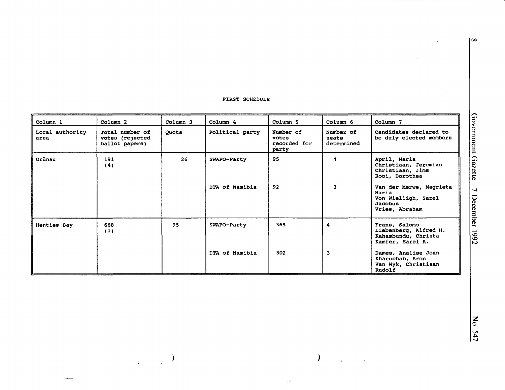$\sim$ 

| Column 1                | Column <sub>2</sub>                                  | Column 3 | Column 4        | Column 5                                    | Column 6                         | Column 7                                                                                    |
|-------------------------|------------------------------------------------------|----------|-----------------|---------------------------------------------|----------------------------------|---------------------------------------------------------------------------------------------|
| Local authority<br>area | Total number of<br>votes (rejected<br>ballot papers) | Quota    | Political party | Number of<br>votes<br>recorded for<br>party | Number of<br>seats<br>determined | Candidates declared to<br>be duly elected members                                           |
| Grünau                  | 191<br>(4)                                           | 26       | SWAPO-Party     | 95                                          | 4                                | April, Maria<br>Christiaan, Jeremias<br>Christiaan, Jims<br>Rooi, Dorothea                  |
|                         |                                                      |          | DTA of Namibia  | 92                                          | 3                                | Van der Merwe, Magrieta<br>Maria<br>Von Wielligh, Sarel<br><b>Jacobus</b><br>Vries, Abraham |
| Henties Bay             | 668<br>(1)                                           | 95       | SWAPO-Party     | 365                                         | 4                                | Frans, Salomo<br>Liebenberg, Alfred H.<br>Kahambundu, Christa<br>Kamfer, Sarel A.           |
|                         |                                                      |          | DTA of Namibia  | 302                                         | $\overline{\mathbf{3}}$          | Dames, Analise Joan<br>Kharuchab, Aron<br>Van Wyk, Christiaan<br>Rudolf                     |

) *)* 

 $\hat{\mathcal{A}}_{\bullet}^{(i)}$ 

 $\mathbf{r}$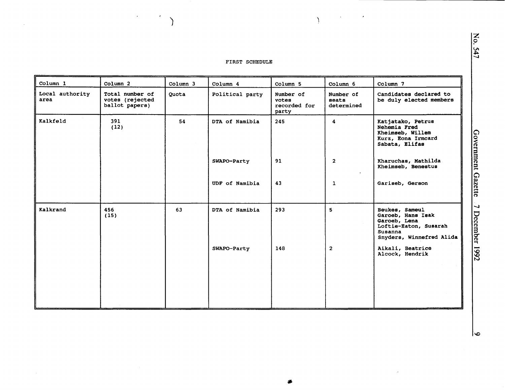$\lambda$ 

 $\sim$ 

 $\lambda$ 

 $\bar{\phantom{a}}$ 

 $\epsilon$ 

 $\lambda$ 

| Column 1                | Column <sub>2</sub>                                  | Column 3 | Column 4        | Column <sub>5</sub>                         | Column 6                         | Column 7                                                                                                            |
|-------------------------|------------------------------------------------------|----------|-----------------|---------------------------------------------|----------------------------------|---------------------------------------------------------------------------------------------------------------------|
| Local authority<br>area | Total number of<br>votes (rejected<br>ballot papers) | Quota    | Political party | Number of<br>votes<br>recorded for<br>party | Number of<br>seats<br>determined | Candidates declared to<br>be duly elected members                                                                   |
| Kalkfeld                | 391<br>(12)                                          | 54       | DTA of Namibia  | 245                                         | 4                                | Katjatako, Petrus<br>Nehemia Fred<br>Kheimseb, Willem<br>Kurz, Eona Irmcard<br>Sabata, Elifas                       |
|                         |                                                      |          | SWAPO-Party     | 91                                          | $\overline{2}$                   | Kharuchas, Mathilda<br>Kheimseb, Benestus                                                                           |
|                         |                                                      |          | UDF of Namibia  | 43                                          | $\mathbf{1}$                     | Gariseb, Gerson                                                                                                     |
| Kalkrand                | 456<br>(15)                                          | 63       | DTA of Namibia  | 293                                         | 5                                | Beukes, Sameul<br>Garoeb, Hans Isak<br>Garoeb, Lena<br>Loftie-Eaton, Susarah<br>Susanna<br>Snyders, Winnefred Alida |
|                         |                                                      |          | SWAPO-Party     | 148                                         | $\mathbf{2}$                     | Aikali, Beatrice<br>Alcock, Hendrik                                                                                 |
|                         |                                                      |          |                 |                                             |                                  |                                                                                                                     |

 $\sim$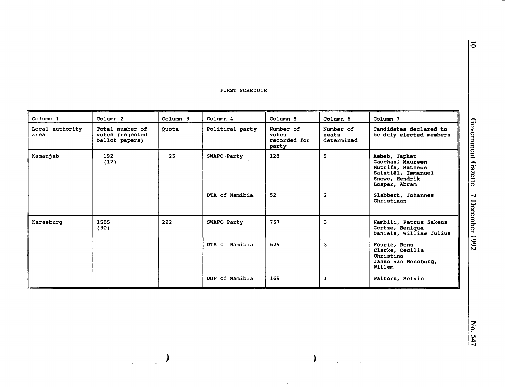| Column 1                | Column <sub>2</sub>                                  | Column 3 | Column 4        | Column 5                                    | Column 6                         | Column 7                                                                                                       |
|-------------------------|------------------------------------------------------|----------|-----------------|---------------------------------------------|----------------------------------|----------------------------------------------------------------------------------------------------------------|
| Local authority<br>area | Total number of<br>votes (rejected<br>ballot papers) | Quota    | Political party | Number of<br>votes<br>recorded for<br>party | Number of<br>seats<br>determined | Candidates declared to<br>be duly elected members                                                              |
| Kamanjab                | 192<br>(12)                                          | 25       | SWAPO-Party     | 128                                         | 5                                | Aebeb, Japhet<br>Gaochas, Maureen<br>Mutrifa, Matheus<br>Salatiël, Immanuel<br>Snewe, Hendrik<br>Losper, Abram |
|                         |                                                      |          | DTA of Namibia  | 52                                          | $\overline{2}$                   | Slabbert, Johannes<br>Christiaan                                                                               |
| Karasburg               | 1585<br>(30)                                         | 222      | SWAPO-Party     | 757                                         | $\overline{\mathbf{3}}$          | Nambili, Petrus Sakeus<br>Gertze, Beniqua<br>Daniels, William Julius                                           |
|                         |                                                      |          | DTA of Namibia  | 629                                         | 3                                | Fourie, Rens<br>Clarke, Cecilia<br>Christina<br>Janse van Rensburg,<br>Willem                                  |
|                         |                                                      |          | UDF of Namibia  | 169                                         | 1                                | Walters, Melvin                                                                                                |

*)* 

 $\hat{\boldsymbol{\beta}}$ 

 $\overline{\phantom{a}}$ 

 $\mathcal{L}_{\mathcal{A}}$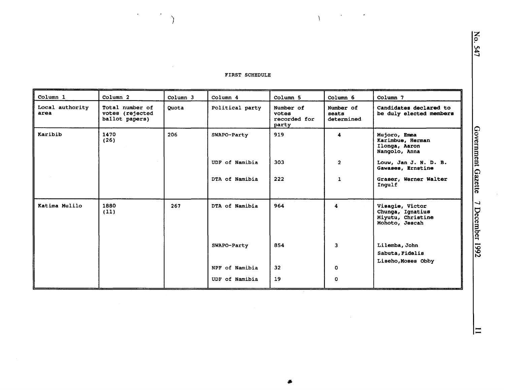$\mathcal{L}^{\text{max}}$ 

 $\sim 10^7$ 

 $\mathcal{L}^{\text{max}}_{\text{max}}$ 

 $\Delta$ 

 $\langle \cdot \rangle$ 

 $\lambda$ 

 $\bullet$ 

| Column 1                | Column <sub>2</sub>                                  | Column 3 | Column 4        | Column 5                                    | Column 6                         | Column 7                                                                   |
|-------------------------|------------------------------------------------------|----------|-----------------|---------------------------------------------|----------------------------------|----------------------------------------------------------------------------|
| Local authority<br>area | Total number of<br>votes (rejected<br>ballot papers) | Ouota    | Political party | Number of<br>votes<br>recorded for<br>party | Number of<br>seats<br>determined | Candidates declared to<br>be duly elected members                          |
| Karibib                 | 1470<br>(26)                                         | 206      | SWAPO-Party     | 919                                         | 4                                | Mujoro, Emma<br>Karimbue, Herman<br>Ilonga, Aaron<br>Nangolo, Anna         |
|                         |                                                      |          | UDF of Namibia  | 303                                         | $\overline{2}$                   | Louw, Jan J. N. D. B.<br>Gawases, Ernstine                                 |
|                         |                                                      |          | DTA of Namibia  | 222                                         | $\mathbf{1}$                     | Graser, Werner Walter<br>Ingulf                                            |
| Katima Mulilo           | 1880<br>(11)                                         | 267      | DTA of Namibia  | 964                                         | 4                                | Visagie, Victor<br>Chunga, Ignatius<br>Miyutu, Christine<br>Mohoto, Jescah |
|                         |                                                      |          | SWAPO-Party     | 854                                         | 3                                | Lilemba, John<br>Sabuta, Fidelis<br>Liseho, Moses Obby                     |
|                         |                                                      |          | NPF of Namibia  | 32 <sub>2</sub>                             | 0                                |                                                                            |
|                         |                                                      |          | UDF of Namibia  | 19                                          | 0                                |                                                                            |

 $\vert \equiv$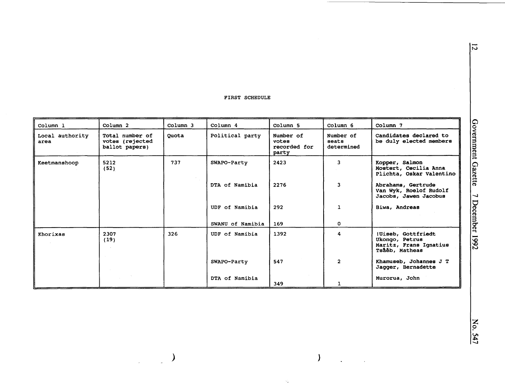| Column 1                | Column 2                                             | Column 3 | Column 4         | Column 5                                    | Column 6                         | Column 7                                                                         |
|-------------------------|------------------------------------------------------|----------|------------------|---------------------------------------------|----------------------------------|----------------------------------------------------------------------------------|
| Local authority<br>area | Total number of<br>votes (rejected<br>ballot papers) | Quota    | Political party  | Number of<br>votes<br>recorded for<br>party | Number of<br>seats<br>determined | Candidates declared to<br>be duly elected members                                |
| Keetmanshoop            | 5212<br>(52)                                         | 737      | SWAPO-Party      | 2423                                        | 3                                | Kopper, Salmon<br>Mostert, Cecilia Anna<br>Plichta, Oskar Valentino              |
|                         |                                                      |          | DTA of Namibia   | 2276                                        | $\overline{\mathbf{3}}$          | Abrahams, Gertrude<br>Van Wyk, Roelof Rudolf<br>Jacobs, Jawen Jacobus            |
|                         |                                                      |          | UDF of Namibia   | 292                                         | $\mathbf{1}$                     | Biwa, Andreas                                                                    |
|                         |                                                      |          | SWANU of Namibia | 169                                         | 0                                |                                                                                  |
| Khorixas                | 2307<br>(19)                                         | 326      | UDF of Namibia   | 1392                                        | 4                                | !Uiseb, Gottfriedt<br>Ukongo, Petrus<br>Maritz, Frans Ignatius<br>Tsåéb, Matheas |
|                         |                                                      |          | SWAPO-Party      | 547                                         | $\overline{2}$                   | Khamuseb, Johannes J T<br>Jagger, Bernadette                                     |
|                         |                                                      |          | DTA of Namibia   | 349                                         | 1                                | Murorua, John                                                                    |

*) )* 

 $\gamma_4^{\rm c}$ 

 $\mathcal{L}$ 

 $\overline{5}$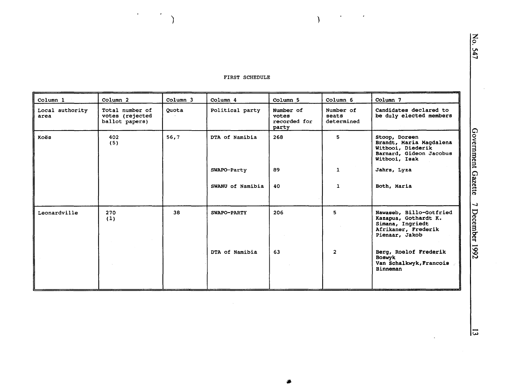$\sim$   $\bullet$ 

 $\lambda$ 

 $\mathcal{L}_{\mathcal{S}}$ 

 $\mathcal{F}_{\mathcal{G}}$ 

 $\lambda$ 

 $\epsilon$ 

| Column 1                | Column <sub>2</sub>                                  | Column 3 | Column 4         | Column 5                                    | Column 6                         | Column 7                                                                                                     |
|-------------------------|------------------------------------------------------|----------|------------------|---------------------------------------------|----------------------------------|--------------------------------------------------------------------------------------------------------------|
| Local authority<br>area | Total number of<br>votes (rejected<br>ballot papers) | Quota    | Political party  | Number of<br>votes<br>recorded for<br>party | Number of<br>seats<br>determined | Candidates declared to<br>be duly elected members                                                            |
| Koës                    | 402<br>(5)                                           | 56,7     | DTA of Namibia   | 268                                         | 5                                | Stoop, Doreen<br>Brandt, Maria Magdalena<br>Witbooi, Diederik<br>Barnard, Gideon Jacobus<br>Witbooi, Isak    |
|                         |                                                      |          | SWAPO-Party      | 89                                          | $\mathbf{1}$                     | Jahrs, Lyza                                                                                                  |
|                         |                                                      |          | SWANU of Namibia | 40                                          | $\mathbf{1}$                     | Both, Maria                                                                                                  |
| Leonardville            | 270<br>(1)                                           | 38       | SWAPO-PARTY      | 206                                         | 5.                               | Nawaseb, Billo-Gotfried<br>Kazapua, Gothardt K.<br>Simana, Ingriedt<br>Afrikaner, Frederik<br>Pienaar, Jakob |
|                         |                                                      |          | DTA of Namibia   | 63                                          | $\overline{2}$                   | Berg, Roelof Frederik<br><b>Boswyk</b><br>Van Schalkwyk, Francois<br>Binneman                                |

Government Gazette 7 December 1992

 $|\vec{u}|$ 

 $\ddot{\phantom{0}}$ 

No. 547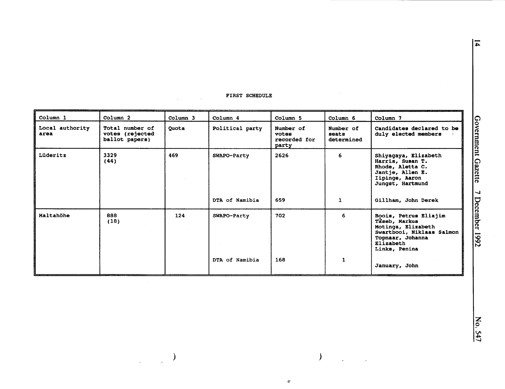$\mathcal{L}_{\mathcal{A}}$ 

 $\mathbb{R}^2$ 

| Column 1                | Column <sub>2</sub>                                  | Column 3 | Column 4        | Column 5                                    | Column 6                         | Column 7                                                                                                                                    |
|-------------------------|------------------------------------------------------|----------|-----------------|---------------------------------------------|----------------------------------|---------------------------------------------------------------------------------------------------------------------------------------------|
| Local authority<br>area | Total number of<br>votes (rejected<br>ballot papers) | Quota    | Political party | Number of<br>votes<br>recorded for<br>party | Number of<br>seats<br>determined | Candidates declared to be<br>duly elected members                                                                                           |
| Lüderitz                | 3329<br>(44)                                         | 469      | SWAPO-Party     | 2626                                        | 6                                | Shiyaqaya, Elizabeth<br>Harris, Susan T.<br>Rhode, Aletta C.<br>Jantje, Allen E.<br>Iipinge, Aaron<br>Jungst, Hartmund                      |
|                         |                                                      |          | DTA of Namibia  | 659                                         | $\mathbf{1}$                     | Gillham, John Derek                                                                                                                         |
| Maltahöhe               | 888<br>(18)                                          | 124      | SWAPO-Party     | 702                                         | 6                                | Boois, Petrus Eliajim<br>Taseb, Markus<br>Motinga, Elizabeth<br>Swartbooi, Niklaas Salmon<br>Topnaar, Johanna<br>Elizabeth<br>Links, Penina |
|                         |                                                      |          | DTA of Namibia  | 168                                         | 1                                | January, John                                                                                                                               |

 $\mathfrak{P}$ 

 $\lambda$ 

l.

 $\sum_{\alpha\in\mathcal{C}}\alpha_{\alpha}$ 

 $\frac{1}{\sqrt{2}}$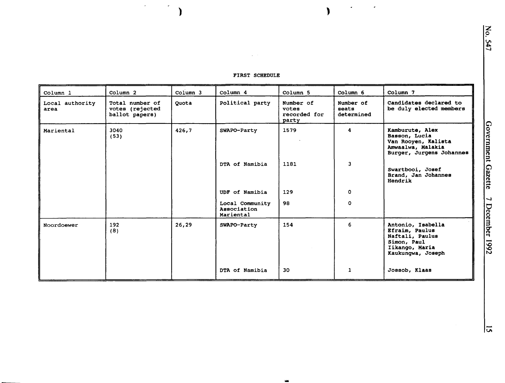| Column 1                | Column <sub>2</sub>                                  | Column 3 | Column 4                                    | Column <sub>5</sub>                         | Column 6                         | Column 7                                                                                                     |
|-------------------------|------------------------------------------------------|----------|---------------------------------------------|---------------------------------------------|----------------------------------|--------------------------------------------------------------------------------------------------------------|
| Local authority<br>area | Total number of<br>votes (rejected<br>ballot papers) | Quota    | Political party                             | Number of<br>votes<br>recorded for<br>party | Number of<br>seats<br>determined | Candidates declared to<br>be duly elected members                                                            |
| Mariental               | 3040<br>(53)                                         | 426,7    | SWAPO-Party                                 | 1579                                        | 4                                | Kamburute, Alex<br>Basson, Lucia<br>Van Rooyen, Kalista<br>Amwaalwa, Malakia<br>Burger, Jurgens Johannes     |
|                         |                                                      |          | DTA of Namibia                              | 1181                                        | $\overline{\mathbf{3}}$          | Swartbooi, Josef<br>Brand, Jan Johannes<br>Hendrik                                                           |
|                         |                                                      |          | UDF of Namibia                              | 129                                         | $\mathbf{o}$                     |                                                                                                              |
|                         |                                                      |          | Local Community<br>Association<br>Mariental | 98                                          | $\mathbf{o}$                     |                                                                                                              |
| Noordoewer              | 192<br>(8)                                           | 26,29    | SWAPO-Party                                 | 154                                         | 6                                | Antonio, Isabella<br>Efraim, Paulus<br>Naftali, Paulus<br>Simon, Paul<br>Iikango, Maria<br>Kaukungwa, Joseph |
|                         |                                                      |          | DTA of Namibia                              | 30                                          | 1                                | Jossob, Klaas                                                                                                |

....

#### FIRST SCHEDULE

 $\mathcal{A}=\mathcal{A}$  .

) )

 $\mathcal{A}$ 

 $\mathcal{A}^{\mathcal{A}}$ 

No.

 $\mathcal{L}_{\mathcal{A}}$ 

 $\bullet$ 

 $547$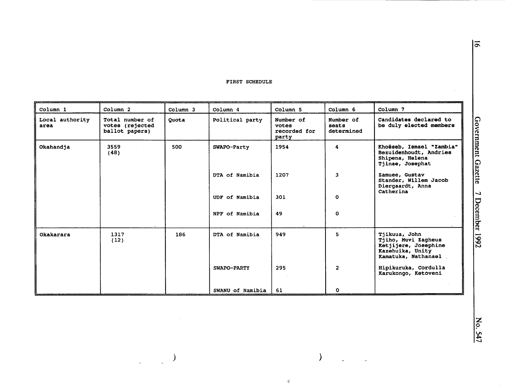| Column 1                | Column <sub>2</sub>                                  | Column 3 | Column 4         | Column 5                                    | Column 6                         | Column 7                                                                                                |
|-------------------------|------------------------------------------------------|----------|------------------|---------------------------------------------|----------------------------------|---------------------------------------------------------------------------------------------------------|
| Local authority<br>area | Total number of<br>votes (rejected<br>ballot papers) | Quota    | Political party  | Number of<br>votes<br>recorded for<br>party | Number of<br>seats<br>determined | Candidates declared to<br>be duly elected members                                                       |
| Okahandja               | 3559<br>(48)                                         | 500      | SWAPO-Party      | 1954                                        | 4                                | Khoëseb, Ismael "Zambia"<br>Bezuidenhoudt, Andries<br>Shipena, Helena<br>Tjinae, Josephat               |
|                         |                                                      |          | DTA of Namibia   | 1207                                        | 3                                | Zamuee, Gustav<br>Stander, Willem Jacob<br>Diergaardt, Anna<br>Catherina                                |
|                         |                                                      |          | UDF of Namibia   | 301                                         | $\circ$                          |                                                                                                         |
|                         |                                                      |          | NPF of Namibia   | 49                                          | O                                |                                                                                                         |
| Okakarara               | 1317<br>(12)                                         | 186      | DTA of Namibia   | 949                                         | 5                                | Tjikuua, John<br>Tjiho, Muvi Zagheus<br>Ketjijere, Josephine<br>Kazehuika, Unity<br>Kamatuka, Nathanael |
|                         |                                                      |          | SWAPO-PARTY      | 295                                         | $\overline{2}$                   | Hipikuruka, Cordulla<br>Karukongo, Ketoveni                                                             |
|                         |                                                      |          | SWANU of Namibia | 61                                          | $\mathbf{o}$                     |                                                                                                         |

)

 $\frac{1}{12}$ 

 $\bar{a}$ 

 $|\bar{5}|$ 

 $\mathcal{L}$ 

 $\mathcal{Y}$ 

)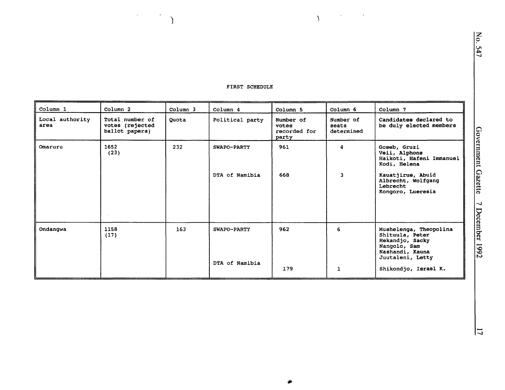$\mathcal{L}^{\text{max}}_{\text{max}}$  and  $\mathcal{L}^{\text{max}}_{\text{max}}$ 

 $\Delta$ 

| Column 1                | Column <sub>2</sub>                                  | Column 3 | Column 4                      | Column 5                                    | Column 6                         | Column 7                                                                                                                                    |
|-------------------------|------------------------------------------------------|----------|-------------------------------|---------------------------------------------|----------------------------------|---------------------------------------------------------------------------------------------------------------------------------------------|
| Local authority<br>area | Total number of<br>votes (rejected<br>ballot papers) | Quota    | Political party               | Number of<br>votes<br>recorded for<br>party | Number of<br>seats<br>determined | Candidates declared to<br>be duly elected members                                                                                           |
| Omaruru                 | 1652<br>(23)                                         | 232      | SWAPO-PARTY                   | 961                                         | 4                                | Goseb, Gruzi<br>Veii, Alphons<br>Haikoti, Hafeni Immanuel<br>Kodi, Helena                                                                   |
|                         |                                                      |          | DTA of Namibia                | 668                                         | 3                                | Kauatjirue, Abuid<br>Albrecht, Wolfgang<br>Lebrecht<br>Kongoro, Lueresia                                                                    |
| Ondangwa                | 1158<br>(17)                                         | 163      | SWAPO-PARTY<br>DTA of Namibia | 962<br>179                                  | 6<br>1                           | Mushelenga, Theopolina<br>Shituula, Peter<br>Hekandjo, Sacky<br>Nangolo, Sam<br>Nashandi, Kauna<br>Juutaleni, Letty<br>Shikondjo, Israel K. |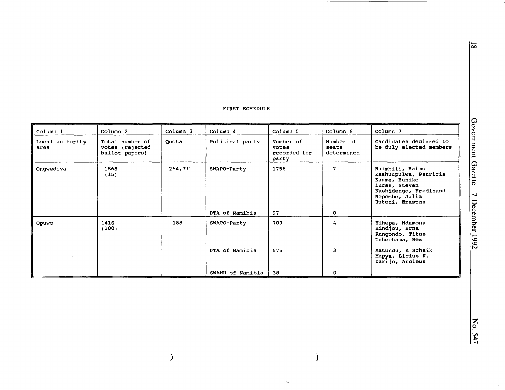| Column 1                | Column <sub>2</sub>                                  | Column 3 | Column 4         | Column 5                                    | Column 6                         | Column 7                                                                                                                                 |
|-------------------------|------------------------------------------------------|----------|------------------|---------------------------------------------|----------------------------------|------------------------------------------------------------------------------------------------------------------------------------------|
| Local authority<br>area | Total number of<br>votes (rejected<br>ballot papers) | Quota    | Political party  | Number of<br>votes<br>recorded for<br>party | Number of<br>seats<br>determined | Candidates declared to<br>be duly elected members                                                                                        |
| Ongwediva               | 1868<br>(15)                                         | 264,71   | SWAPO-Party      | 1756                                        | 7                                | Haimbili, Raimo<br>Kashuupulwa, Patricia<br>Kuume, Eunike<br>Lucas, Steven<br>Nashidengo, Fredinand<br>Nepembe, Julia<br>Uutoni, Erastus |
|                         |                                                      |          | DTA of Namibia   | 97                                          | $\Omega$                         |                                                                                                                                          |
| Opuwo                   | 1416<br>(100)                                        | 188      | SWAPO-Party      | 703                                         | 4                                | Hihepa, Ndamona<br>Hindjou, Erna<br>Rungondo, Titus<br>Tsheehama, Rex                                                                    |
|                         |                                                      |          | DTA of Namibia   | 575                                         | 3                                | Matundu, K Schaik<br>Mupya, Licius K.<br>Uarije, Arcleus                                                                                 |
|                         |                                                      |          | SWANU of Namibia | 38                                          | ٥                                |                                                                                                                                          |

 $\,$   $)$ 

 $\overline{8}$ 

 $\alpha_{\rm T}^{\rm Q}$ 

 $\overline{\phantom{a}}$ 

 $\sim 1$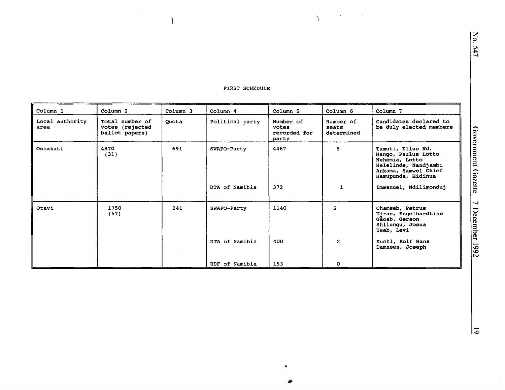# No.  $547$

#### FIRST SCHEDULE

 $\mathcal{L}(\mathcal{L})$  and  $\mathcal{L}(\mathcal{L})$  and  $\mathcal{L}(\mathcal{L})$ 

 $\Delta$ 

 $\label{eq:2} \left\{ \begin{array}{ll} \mathcal{L}_{\text{max}} & \mathcal{L}_{\text{max}} \\ \mathcal{L}_{\text{max}} & \mathcal{L}_{\text{max}} \end{array} \right\}$ 

| Column 1                | Column <sub>2</sub>                                  | Column 3 | Column 4        | Column 5                                    | Column 6                         | Column 7                                                                                                                         |
|-------------------------|------------------------------------------------------|----------|-----------------|---------------------------------------------|----------------------------------|----------------------------------------------------------------------------------------------------------------------------------|
| Local authority<br>area | Total number of<br>votes (rejected<br>ballot papers) | Quota    | Political party | Number of<br>votes<br>recorded for<br>party | Number of<br>seats<br>determined | Candidates declared to<br>be duly elected members                                                                                |
| Oshakati                | 4870<br>(31)                                         | 691      | SWAPO-Party     | 4467                                        | 6                                | Tamuti, Elise Nd.<br>Hango, Paulus Lotto<br>Nehemia, Lotto<br>Helelinde, Nandjambi<br>Ankama, Samwel Chief<br>Hamupunda, Hidinua |
|                         |                                                      |          | DTA of Namibia  | 372                                         | $\mathbf{1}$                     | Immanuel, Ndilimonduj                                                                                                            |
| Otavi                   | 1750<br>(57)                                         | 241      | SWAPO-Party     | 1140                                        | 5.                               | Chamseb, Petrus<br>Uiras, Engelhardtine<br>Gaoab, Gerson<br>Shilungu, Josua<br>Useb, Levi                                        |
|                         |                                                      |          | DTA of Namibia  | 400                                         | $\overline{2}$                   | Kuehl, Rolf Hans<br>Damases, Joseph                                                                                              |
|                         |                                                      |          | UDF of Namibia  | 153                                         | $\mathbf{O}$                     |                                                                                                                                  |

•

-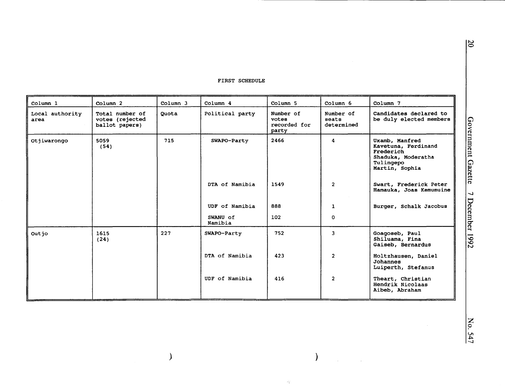| Column <sub>1</sub>     | Column <sub>2</sub>                                  | Column 3 | Column 4            | Column 5                                    | Column 6                         | Column 7                                                                                                |
|-------------------------|------------------------------------------------------|----------|---------------------|---------------------------------------------|----------------------------------|---------------------------------------------------------------------------------------------------------|
| Local authority<br>area | Total number of<br>votes (rejected<br>ballot papers) | Quota    | Political party     | Number of<br>votes<br>recorded for<br>party | Number of<br>seats<br>determined | Candidates declared to<br>be duly elected members                                                       |
| Otjiwarongo             | 5059<br>(54)                                         | 715      | SWAPO-Party         | 2466                                        | 4                                | Uxamb, Manfred<br>Kavetuna, Ferdinand<br>Frederich<br>Shaduka, Moderatha<br>Tulingepo<br>Martin, Sophia |
|                         |                                                      |          | DTA of Namibia      | 1549                                        | $\overline{2}$                   | Swart, Frederick Peter<br>Hamauka, Joas Kemumuine                                                       |
|                         |                                                      |          | UDF of Namibia      | 888                                         | 1                                | Burger, Schalk Jacobus                                                                                  |
|                         |                                                      |          | SWANU of<br>Namibia | 102                                         | 0                                |                                                                                                         |
| Outjo                   | 1615<br>(24)                                         | 227      | SWAPO-Party         | 752                                         | 3                                | Goagoseb, Paul<br>Shiluama, Fina<br>Gaiseb, Bernardus                                                   |
|                         |                                                      |          | DTA of Namibia      | 423                                         | $\overline{2}$                   | Holtzhausen, Daniel<br>Johannes<br>Luiperth, Stefanus                                                   |
|                         |                                                      |          | UDF of Namibia      | 416                                         | $\overline{2}$                   | Theart, Christian<br>Hendrik Nicolaas<br>Aibeb, Abraham                                                 |

 $\big)$ 

 $\overline{\phantom{a}}$ 

 $\alpha_{\rm T}^{\rm (c)}$ 

 $\frac{1}{2}$ 

 $\sim 10^6$ 

 $\overline{\mathcal{L}}$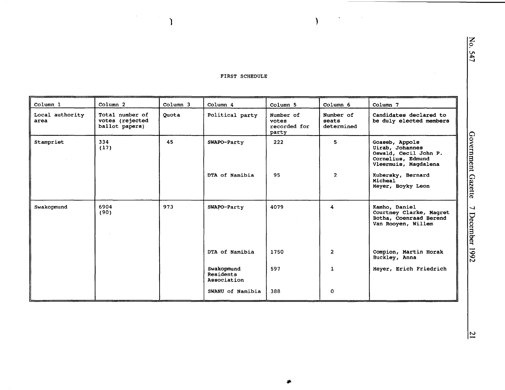) and ( ) and ( ) and ( ) and ( ) and ( ) and ( ) and ( ) and ( ) and ( ) and ( ) and ( ) and ( ) and ( ) and ( ) and ( ) and ( ) and ( ) and ( ) and ( ) and ( ) and ( ) and ( ) and ( ) and ( ) and ( ) and ( ) and ( ) and

 $\bar{\gamma}$ 

| Column 1                | Column <sub>2</sub>                                  | Column 3 | Column 4                               | Column 5                                    | Column 6                         | Column 7                                                                                                |
|-------------------------|------------------------------------------------------|----------|----------------------------------------|---------------------------------------------|----------------------------------|---------------------------------------------------------------------------------------------------------|
| Local authority<br>area | Total number of<br>votes (rejected<br>ballot papers) | Quota    | Political party                        | Number of<br>votes<br>recorded for<br>party | Number of<br>seats<br>determined | Candidates declared to<br>be duly elected members                                                       |
| Stampriet               | 334<br>(17)                                          | 45       | SWAPO-Party                            | 222                                         | 5                                | Goaseb, Appols<br>Uirab, Johannes<br>Oswald, Cecil John P.<br>Cornelius, Edmund<br>Vleermuis, Magdalena |
|                         |                                                      |          | DTA of Namibia                         | 95                                          | $\overline{2}$                   | Kubersky, Bernard<br>Micheal<br>Meyer, Boyky Leon                                                       |
| Swakopmund              | 6904<br>(90)                                         | 973      | SWAPO-Party                            | 4079                                        | 4                                | Kamho, Daniel<br>Courtney Clarke, Magret<br>Botha, Coenraad Berend<br>Van Rooyen, Willem                |
|                         |                                                      |          | DTA of Namibia                         | 1750                                        | $\overline{2}$                   | Compion, Martin Horak<br>Buckley, Anna                                                                  |
|                         |                                                      |          | Swakopmund<br>Residents<br>Association | 597                                         | $\mathbf{1}$                     | Meyer, Erich Friedrich                                                                                  |
|                         |                                                      |          | SWANU of Namibia                       | 388                                         | O                                |                                                                                                         |

-

N<sub>o</sub> 547

 $\lambda$ 

÷.

Government Ga zette  $\overline{\phantom{0}}$ December er 1992

N <sup>21</sup>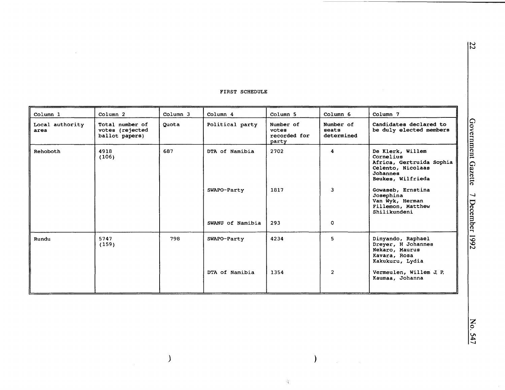|                           |                                                      |                     | tivoi orupnarp   |                                             |                                                                                                                 |                                                                                              |
|---------------------------|------------------------------------------------------|---------------------|------------------|---------------------------------------------|-----------------------------------------------------------------------------------------------------------------|----------------------------------------------------------------------------------------------|
| Column 1                  | Column <sub>2</sub>                                  | Column <sub>3</sub> | Column 4         | Column <sub>5</sub>                         | Column 6                                                                                                        | Column 7                                                                                     |
| Local authority<br>area   | Total number of<br>votes (rejected<br>ballot papers) | Quota               | Political party  | Number of<br>votes<br>recorded for<br>party | Number of<br>seats<br>determined                                                                                | Candidates declared to<br>be duly elected members                                            |
| 4918<br>Rehoboth<br>(106) | 687                                                  | DTA of Namibia      | 2702             | 4                                           | De Klerk, Willem<br>Cornelius<br>Africa, Gertruida Sophia<br>Celento, Nicolaas<br>Johannes<br>Beukes, Wilfrieda |                                                                                              |
|                           |                                                      |                     | SWAPO-Party      | 1817                                        | 3                                                                                                               | Gowaseb, Ernstina<br>Josephina<br>Van Wyk, Herman<br>Fillemon, Matthew<br>Shilikundeni       |
|                           |                                                      |                     | SWANU of Namibia | 293                                         | 0                                                                                                               |                                                                                              |
| Rundu                     | 5747<br>(159)                                        | 798                 | SWAPO-Party      | 4234                                        | 5.                                                                                                              | Dinyando, Raphael<br>Dreyer, H Johannes<br>Nekaro, Maurus<br>Kavara, Rosa<br>Kakukuru, Lydia |
|                           |                                                      |                     | DTA of Namibia   | 1354                                        | $\overline{2}$                                                                                                  | Vermeulen, Willem J. P.<br>Kaumaa, Johanna                                                   |

 $\lambda$ 

 $\hat{\mathcal{A}}^{\text{c}}_i$ 

)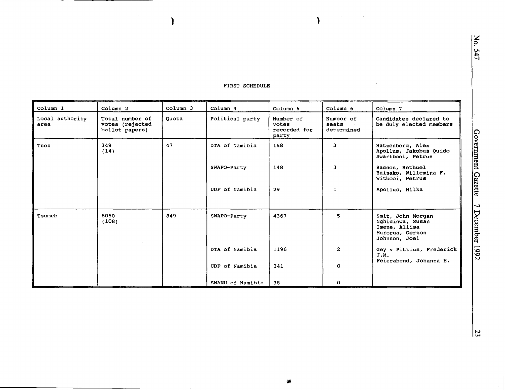No. 547

#### FIRST SCHEDULE

 $\epsilon$ 

 $\lambda$ 

 $\sim$ 

 $\bar{\phantom{a}}$ 

 $\mathbf{I}$ 

| Column 1                | Column <sub>2</sub>                                  | Column 3 | Column 4         | Column 5                                    | Column 6                         | Column 7                                                                                   |
|-------------------------|------------------------------------------------------|----------|------------------|---------------------------------------------|----------------------------------|--------------------------------------------------------------------------------------------|
| Local authority<br>area | Total number of<br>votes (rejected<br>ballot papers) | Quota    | Political party  | Number of<br>votes<br>recorded for<br>party | Number of<br>seats<br>determined | Candidates declared to<br>be duly elected members                                          |
| Tses                    | 349<br>(14)                                          | 47       | DTA of Namibia   | 158                                         | 3                                | Hatzenberg, Alex<br>Apollus, Jakobus Quido<br>Swartbooi, Petrus                            |
|                         |                                                      |          | SWAPO-Party      | 148                                         | 3                                | Basson, Bethuel<br>Baisako, Willemina F.<br>Witbooi, Petrus                                |
|                         |                                                      |          | UDF of Namibia   | 29                                          | 1                                | Apollus, Milka                                                                             |
| Tsumeb                  | 6050<br>(108)                                        | 849      | SWAPO-Party      | 4367                                        | 5                                | Smit, John Morgan<br>Nghidinwa, Susan<br>Imene, Allisa<br>Murorua, Gerson<br>Johnson, Joel |
|                         |                                                      |          | DTA of Namibia   | 1196                                        | $\overline{2}$                   | Gey v Pittius, Frederick<br>J.M.                                                           |
|                         |                                                      |          | UDF of Namibia   | 341                                         | $\mathbf 0$                      | Feierabend, Johanna E.                                                                     |
|                         |                                                      |          | SWANU of Namibia | 38                                          | 0                                |                                                                                            |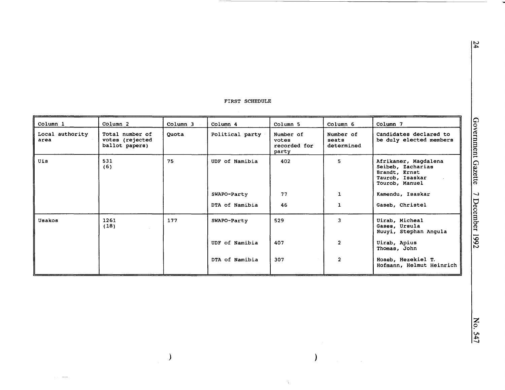| Column 1                | Column 2                                             | Column 3 | Column 4        | Column 5                                    | Column 6                         | Column 7                                                                                        |
|-------------------------|------------------------------------------------------|----------|-----------------|---------------------------------------------|----------------------------------|-------------------------------------------------------------------------------------------------|
| Local authority<br>area | Total number of<br>votes (rejected<br>ballot papers) | Quota    | Political party | Number of<br>votes<br>recorded for<br>party | Number of<br>seats<br>determined | Candidates declared to<br>be duly elected members                                               |
| Uis                     | 531<br>(6)                                           | 75       | UDF of Namibia  | 402                                         | 5                                | Afrikaner, Magdalena<br>Seibeb, Zacharias<br>Brandt, Ernst<br>Taurob, Isaskar<br>Tourob, Manuel |
|                         |                                                      |          | SWAPO-Party     | 77                                          | 1                                | Kamendu, Isaskar                                                                                |
|                         |                                                      |          | DTA of Namibia  | 46                                          | $\mathbf{1}$                     | Gaseb, Christel                                                                                 |
| Usakos                  | 1261<br>(18)                                         | 177      | SWAPO-Party     | 529                                         | 3                                | Uirab, Micheal<br>Gases, Ursula<br>Nuuyi, Stephan Angula                                        |
|                         |                                                      |          | UDF of Namibia  | 407                                         | $\overline{2}$                   | Uirab, Apius<br>Thomas, John                                                                    |
|                         |                                                      |          | DTA of Namibia  | 307                                         | $\overline{2}$                   | Hoaeb, Hezekiel T.<br>Hofmann, Helmut Heinrich                                                  |

 $\big)$ 

 $\lambda$ 

 $\tilde{\gamma}$ 

 $\bar{\mathcal{A}}$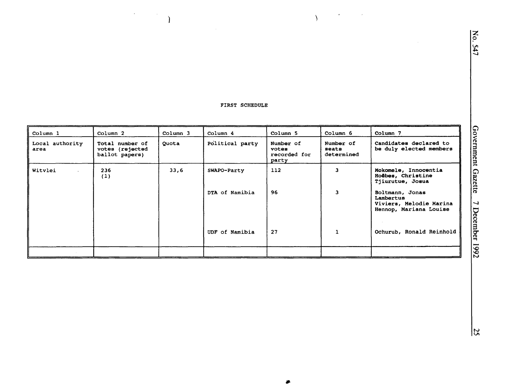$\mathcal{A}$ 

 $\lambda$ 

 $\sim$ 

 $\mathcal{A}^{\text{max}}_{\text{max}}$  and  $\mathcal{A}^{\text{max}}_{\text{max}}$ 

 $\overline{\phantom{a}}$ 

| Column 1                | Column <sub>2</sub>                                  | Column 3 | Column 4        | Column 5                                    | Column 6                         | Column 7                                                                          |
|-------------------------|------------------------------------------------------|----------|-----------------|---------------------------------------------|----------------------------------|-----------------------------------------------------------------------------------|
| Local authority<br>area | Total number of<br>votes (rejected<br>ballot papers) | Quota    | Political party | Number of<br>votes<br>recorded for<br>party | Number of<br>seats<br>determined | Candidates declared to<br>be duly elected members                                 |
| Witvlei                 | 236<br>(1)                                           | 33,6     | SWAPO-Party     | 112                                         | 3                                | Mokomele, Innocentia<br>Hoêbes, Christine<br>Tjiurutue, Josua                     |
|                         |                                                      |          | DTA of Namibia  | 96                                          | 3                                | Boltmann, Jonas<br>Lambertus<br>Viviers, Melodie Marina<br>Hennop, Mariana Louise |
|                         |                                                      |          | UDF of Namibia  | 27                                          |                                  | Ochurub, Ronald Reinhold                                                          |
|                         |                                                      |          |                 |                                             |                                  |                                                                                   |

姜

 $\frac{25}{2}$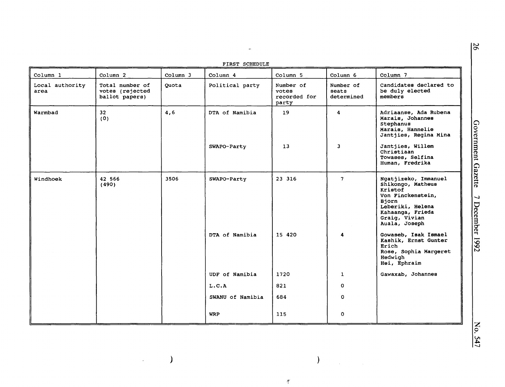|  | FIRST SCHEDULE |
|--|----------------|
|  |                |

 $\omega$ 

| LIKOI SCUEDATE          |                                                      |          |                  |                                             |                                  |                                                                                                                                                              |
|-------------------------|------------------------------------------------------|----------|------------------|---------------------------------------------|----------------------------------|--------------------------------------------------------------------------------------------------------------------------------------------------------------|
| Column 1                | Column 2                                             | Column 3 | Column 4         | Column 5                                    | Column 6                         | Column 7                                                                                                                                                     |
| Local authority<br>area | Total number of<br>votes (rejected<br>ballot papers) | Quota    | Political party  | Number of<br>votes<br>recorded for<br>party | Number of<br>seats<br>determined | Candidates declared to<br>be duly elected<br>members                                                                                                         |
| Warmbad                 | 32 <sub>2</sub><br>(0)                               | 4,6      | DTA of Namibia   | 19                                          | $\overline{\mathbf{4}}$          | Adriaanse, Ada Rubena<br>Marais, Johannes<br>Stephanus<br>Marais, Hannelie<br>Jantjies, Regina Mina                                                          |
|                         |                                                      |          | SWAPO-Party      | 13                                          | 3                                | Jantjies, Willem<br>Christiaan<br>Towases, Selfina<br>Human, Fredrika                                                                                        |
| Windhoek                | 42 566<br>(490)                                      | 3506     | SWAPO-Party      | 23 316                                      | 7 <sup>1</sup>                   | Ngatjizeko, Immanuel<br>Shikongo, Matheus<br>Kristof<br>Von Finckenstein,<br>Biorn<br>Leberiki, Helena<br>Kahaanga, Frieda<br>Graig, Vivian<br>Auala, Joseph |
|                         |                                                      |          | DTA of Namibia   | 15 420                                      | 4                                | Gowaseb, Isak Ismael<br>Kashik, Ernst Gunter<br>Erich<br>Rose, Sophia Margeret<br>Hedwigh<br>Hei, Ephraim                                                    |
|                         |                                                      |          | UDF of Namibia   | 1720                                        | $\mathbf{1}$                     | Gawaxab, Johannes                                                                                                                                            |
|                         |                                                      |          | L.C.A            | 821                                         | 0                                |                                                                                                                                                              |
|                         |                                                      |          | SWANU of Namibia | 684                                         | 0                                |                                                                                                                                                              |
|                         |                                                      |          | <b>WRP</b>       | 115                                         | 0                                |                                                                                                                                                              |

*)* )

 $\hat{\mathcal{L}}$ 

'f

 $\hat{\mathcal{A}}$ 

N 0..

Gove <u>'s</u> ment Gazette -...J December 1 Z661

> z 0 547